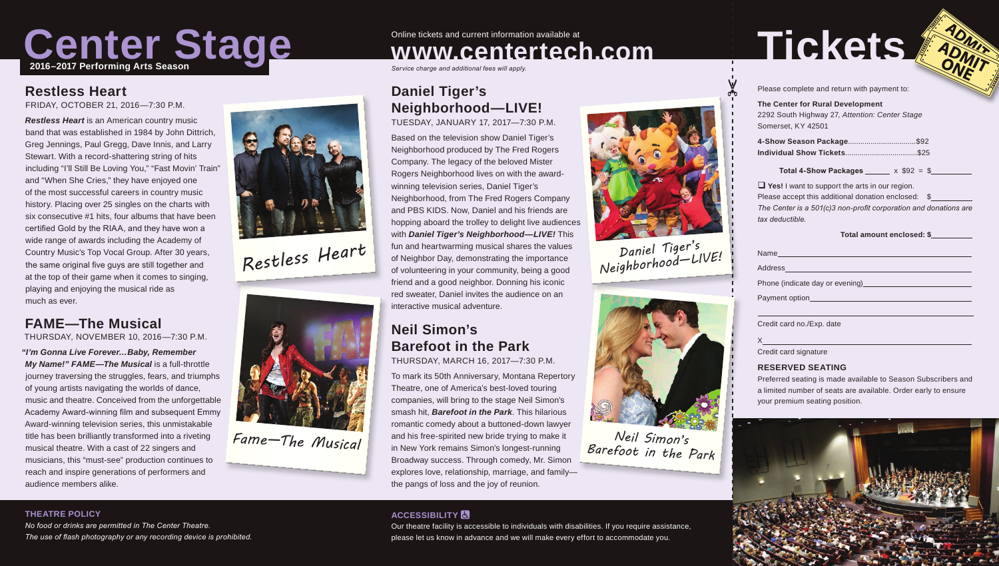

### **Restless Heart**

FRIDAY, OCTOBER 21, 2016—7:30 P.M.

*Restless Heart* is an American country music band that was established in 1984 by John Dittrich, Greg Jennings, Paul Gregg, Dave Innis, and Larry Stewart. With a record-shattering string of hits including "I'll Still Be Loving You," "Fast Movin' Train" and "When She Cries," they have enjoyed one of the most successful careers in country music history. Placing over 25 singles on the charts with six consecutive #1 hits, four albums that have been certified Gold by the RIAA, and they have won a wide range of awards including the Academy of Country Music's Top Vocal Group. After 30 years, the same original five guys are still together and at the top of their game when it comes to singing, playing and enjoying the musical ride as much as ever.

# **FAME—The Musical**

THURSDAY, NOVEMBER 10, 2016—7:30 P.M.

*"I'm Gonna Live Forever…Baby, Remember My Name!" FAME—The Musical* is a full-throttle journey traversing the struggles, fears, and triumphs of young artists navigating the worlds of dance, music and theatre. Conceived from the unforgettable Academy Award-winning film and subsequent Emmy Award-winning television series, this unmistakable title has been brilliantly transformed into a riveting musical theatre. With a cast of 22 singers and musicians, this "must-see" production continues to reach and inspire generations of performers and audience members alike.



*Restless Heart*



*Fame—The Musical*

# Online tickets and current information available at **www.centertech.com**

*Service charge and additional fees will apply.*

# **Daniel Tiger's Neighborhood—LIVE!**

TUESDAY, JANUARY 17, 2017—7:30 P.M.

Based on the television show Daniel Tiger's Neighborhood produced by The Fred Rogers Company. The legacy of the beloved Mister Rogers Neighborhood lives on with the awardwinning television series, Daniel Tiger's Neighborhood, from The Fred Rogers Company and PBS KIDS. Now, Daniel and his friends are hopping aboard the trolley to delight live audiences with *Daniel Tiger's Neighborhood—LIVE!* This fun and heartwarming musical shares the values of Neighbor Day, demonstrating the importance of volunteering in your community, being a good friend and a good neighbor. Donning his iconic red sweater, Daniel invites the audience on an interactive musical adventure.

## **Neil Simon's Barefoot in the Park**

THURSDAY, MARCH 16, 2017—7:30 P.M.

To mark its 50th Anniversary, Montana Repertory Theatre, one of America's best-loved touring companies, will bring to the stage Neil Simon's smash hit, *Barefoot in the Park*. This hilarious romantic comedy about a buttoned-down lawyer and his free-spirited new bride trying to make it in New York remains Simon's longest-running Broadway success. Through comedy, Mr. Simon explores love, relationship, marriage, and family the pangs of loss and the joy of reunion.



Our theatre facility is accessible to individuals with disabilities. If you require assistance, please let us know in advance and we will make every effort to accommodate you.



*Daniel Tiger's Neighborhood—LIVE!*



*Neil Simon's Barefoot in the Park*

# Tickets **ADMIT**

Please complete and return with payment to:

**The Center for Rural Development** 2292 South Highway 27, *Attention: Center Stage* Somerset, KY 42501

| 4-Show Season Package\$92 |  |
|---------------------------|--|
|                           |  |

**Total 4-Show Packages**  $x$  \$92 = \$

**T** Yes! I want to support the arts in our region. Please accept this additional donation enclosed: \$ *The Center is a 501(c)3 non-profit corporation and donations are tax deductible.*

#### **Total amount enclosed: \$**

| Address |  |
|---------|--|
|         |  |

Name

 $\overline{a}$ 

X

Phone (indicate day or evening)

Payment option

Credit card no./Exp. date

Credit card signature

#### **RESERVED SEATING**

Preferred seating is made available to Season Subscribers and a limited number of seats are available. Order early to ensure your premium seating position.



#### **THEATRE POLICY**

*No food or drinks are permitted in The Center Theatre. The use of flash photography or any recording device is prohibited.*